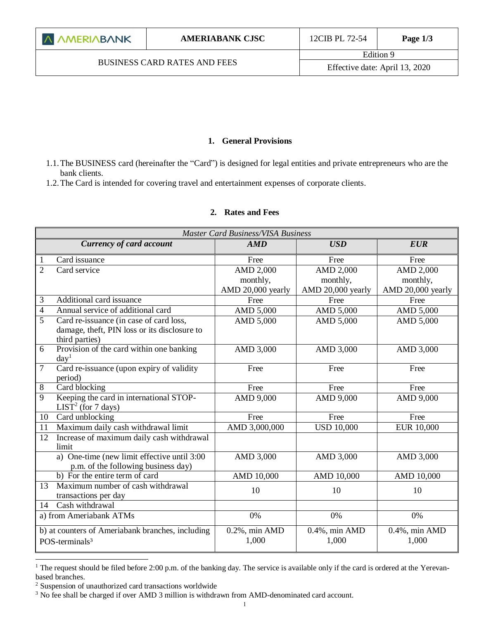#### **1. General Provisions**

1.1.The BUSINESS card (hereinafter the "Card") is designed for legal entities and private entrepreneurs who are the bank clients.

1.2.The Card is intended for covering travel and entertainment expenses of corporate clients.

# **2. Rates and Fees**

| <b>Master Card Business/VISA Business</b> |                                                                                    |                   |                   |                   |  |  |
|-------------------------------------------|------------------------------------------------------------------------------------|-------------------|-------------------|-------------------|--|--|
|                                           | <b>Currency of card account</b>                                                    | AMD               | <b>USD</b>        | <b>EUR</b>        |  |  |
|                                           | Card issuance                                                                      | Free              | Free              | Free              |  |  |
| $\overline{2}$                            | Card service                                                                       | <b>AMD 2,000</b>  | <b>AMD 2,000</b>  | <b>AMD 2,000</b>  |  |  |
|                                           |                                                                                    | monthly,          | monthly,          | monthly,          |  |  |
|                                           |                                                                                    | AMD 20,000 yearly | AMD 20,000 yearly | AMD 20,000 yearly |  |  |
| 3                                         | Additional card issuance                                                           | Free              | Free              | Free              |  |  |
| $\overline{4}$                            | Annual service of additional card                                                  | AMD 5,000         | AMD 5,000         | AMD 5,000         |  |  |
| 5                                         | Card re-issuance (in case of card loss,                                            | AMD 5,000         | AMD 5,000         | AMD 5,000         |  |  |
|                                           | damage, theft, PIN loss or its disclosure to<br>third parties)                     |                   |                   |                   |  |  |
| 6                                         | Provision of the card within one banking<br>day <sup>1</sup>                       | AMD 3,000         | AMD 3,000         | AMD 3,000         |  |  |
| $\overline{7}$                            | Card re-issuance (upon expiry of validity<br>period)                               | Free              | Free              | Free              |  |  |
| $8\,$                                     | Card blocking                                                                      | Free              | Free              | Free              |  |  |
| $\overline{9}$                            | Keeping the card in international STOP-                                            | AMD 9,000         | AMD 9,000         | AMD 9,000         |  |  |
|                                           | LIST <sup>2</sup> (for 7 days)                                                     |                   |                   |                   |  |  |
| 10                                        | Card unblocking                                                                    | Free              | Free              | Free              |  |  |
| 11                                        | Maximum daily cash withdrawal limit                                                | AMD 3,000,000     | <b>USD 10,000</b> | <b>EUR 10,000</b> |  |  |
| 12                                        | Increase of maximum daily cash withdrawal<br>limit                                 |                   |                   |                   |  |  |
|                                           | a) One-time (new limit effective until 3:00<br>p.m. of the following business day) | AMD 3,000         | AMD 3,000         | AMD 3,000         |  |  |
|                                           | b) For the entire term of card                                                     | AMD 10,000        | AMD 10,000        | AMD 10,000        |  |  |
| 13                                        | Maximum number of cash withdrawal                                                  | 10                | 10                | 10                |  |  |
|                                           | transactions per day                                                               |                   |                   |                   |  |  |
| 14                                        | Cash withdrawal                                                                    |                   |                   |                   |  |  |
|                                           | a) from Ameriabank ATMs                                                            | 0%                | 0%                | 0%                |  |  |
|                                           | b) at counters of Ameriabank branches, including                                   | $0.2\%$ , min AMD | $0.4\%$ , min AMD | $0.4\%$ , min AMD |  |  |
|                                           | POS-terminals <sup>3</sup>                                                         | 1,000             | 1,000             | 1,000             |  |  |

 $\overline{a}$ <sup>1</sup> The request should be filed before 2:00 p.m. of the banking day. The service is available only if the card is ordered at the Yerevanbased branches.

<sup>2</sup> Suspension of unauthorized card transactions worldwide

<sup>&</sup>lt;sup>3</sup> No fee shall be charged if over AMD 3 million is withdrawn from AMD-denominated card account.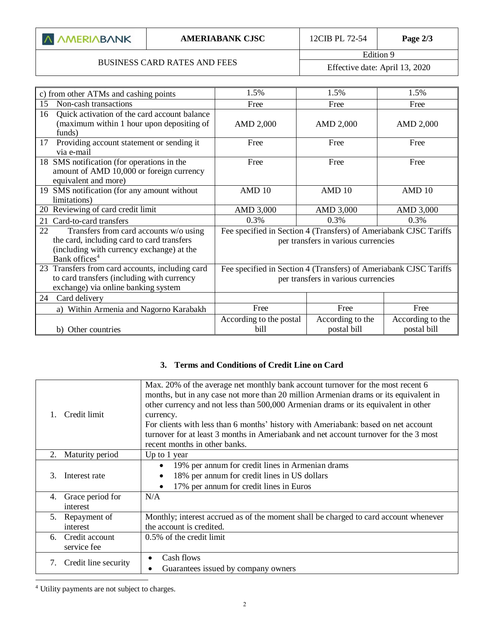| A AMERIABANK |
|--------------|
|              |

# BUSINESS CARD RATES AND FEES

Edition 9 Effective date: April 13, 2020

| c) from other ATMs and cashing points                                                                                                                                | 1.5%                                                                                                     | 1.5%                            | 1.5%                            |
|----------------------------------------------------------------------------------------------------------------------------------------------------------------------|----------------------------------------------------------------------------------------------------------|---------------------------------|---------------------------------|
| Non-cash transactions<br>15                                                                                                                                          | Free                                                                                                     | Free                            | Free                            |
| Quick activation of the card account balance<br>16<br>(maximum within 1 hour upon depositing of<br>funds)                                                            | AMD 2,000                                                                                                | AMD 2,000                       | AMD 2,000                       |
| Providing account statement or sending it<br>17<br>via e-mail                                                                                                        | Free                                                                                                     | Free                            | Free                            |
| 18 SMS notification (for operations in the<br>amount of AMD 10,000 or foreign currency<br>equivalent and more)                                                       | Free                                                                                                     | Free                            | Free                            |
| 19 SMS notification (for any amount without<br>limitations)                                                                                                          | AMD 10                                                                                                   | AMD 10                          | AMD 10                          |
| 20 Reviewing of card credit limit                                                                                                                                    | AMD 3,000                                                                                                | AMD 3,000                       | AMD 3,000                       |
| Card-to-card transfers<br>21                                                                                                                                         | 0.3%                                                                                                     | 0.3%                            | 0.3%                            |
| Transfers from card accounts w/o using<br>22<br>the card, including card to card transfers<br>(including with currency exchange) at the<br>Bank offices <sup>4</sup> | Fee specified in Section 4 (Transfers) of Ameriabank CJSC Tariffs<br>per transfers in various currencies |                                 |                                 |
| 23 Transfers from card accounts, including card<br>to card transfers (including with currency<br>exchange) via online banking system                                 | Fee specified in Section 4 (Transfers) of Ameriabank CJSC Tariffs<br>per transfers in various currencies |                                 |                                 |
| Card delivery<br>24                                                                                                                                                  |                                                                                                          |                                 |                                 |
| a) Within Armenia and Nagorno Karabakh                                                                                                                               | Free                                                                                                     | Free                            | Free                            |
| b) Other countries                                                                                                                                                   | According to the postal<br>bill                                                                          | According to the<br>postal bill | According to the<br>postal bill |

### **3. Terms and Conditions of Credit Line on Card**

|                | Credit limit                     | Max. 20% of the average net monthly bank account turnover for the most recent 6<br>months, but in any case not more than 20 million Armenian drams or its equivalent in<br>other currency and not less than 500,000 Armenian drams or its equivalent in other<br>currency.<br>For clients with less than 6 months' history with Ameriabank: based on net account<br>turnover for at least 3 months in Ameriabank and net account turnover for the 3 most<br>recent months in other banks. |
|----------------|----------------------------------|-------------------------------------------------------------------------------------------------------------------------------------------------------------------------------------------------------------------------------------------------------------------------------------------------------------------------------------------------------------------------------------------------------------------------------------------------------------------------------------------|
| 2.             | Maturity period                  | Up to 1 year                                                                                                                                                                                                                                                                                                                                                                                                                                                                              |
| 3              | Interest rate                    | 19% per annum for credit lines in Armenian drams<br>18% per annum for credit lines in US dollars<br>17% per annum for credit lines in Euros                                                                                                                                                                                                                                                                                                                                               |
| 4.<br>interest | Grace period for                 | N/A                                                                                                                                                                                                                                                                                                                                                                                                                                                                                       |
| 5.<br>interest | Repayment of                     | Monthly; interest accrued as of the moment shall be charged to card account whenever<br>the account is credited.                                                                                                                                                                                                                                                                                                                                                                          |
|                | 6. Credit account<br>service fee | 0.5% of the credit limit                                                                                                                                                                                                                                                                                                                                                                                                                                                                  |
| 7.             | Credit line security             | Cash flows<br>Guarantees issued by company owners                                                                                                                                                                                                                                                                                                                                                                                                                                         |
|                |                                  |                                                                                                                                                                                                                                                                                                                                                                                                                                                                                           |

<sup>4</sup> Utility payments are not subject to charges.